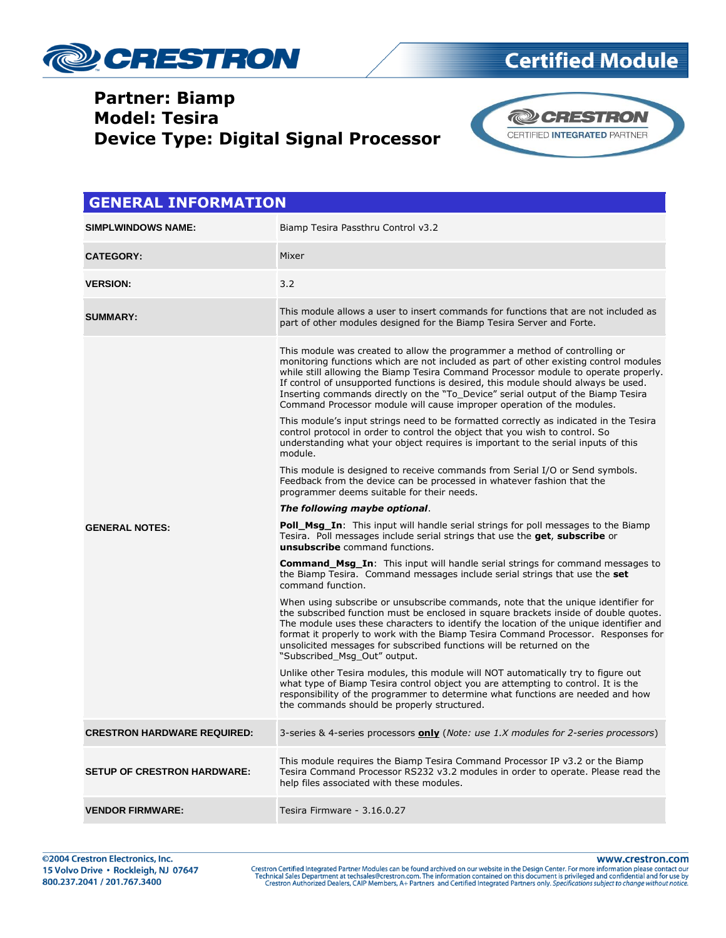

## **Certified Module**

#### **Partner: Biamp Model: Tesira Device Type: Digital Signal Processor**



| <b>GENERAL INFORMATION</b>         |                                                                                                                                                                                                                                                                                                                                                                                                                                                                                                                |  |
|------------------------------------|----------------------------------------------------------------------------------------------------------------------------------------------------------------------------------------------------------------------------------------------------------------------------------------------------------------------------------------------------------------------------------------------------------------------------------------------------------------------------------------------------------------|--|
| <b>SIMPLWINDOWS NAME:</b>          | Biamp Tesira Passthru Control v3.2                                                                                                                                                                                                                                                                                                                                                                                                                                                                             |  |
| <b>CATEGORY:</b>                   | Mixer                                                                                                                                                                                                                                                                                                                                                                                                                                                                                                          |  |
| <b>VERSION:</b>                    | 3.2                                                                                                                                                                                                                                                                                                                                                                                                                                                                                                            |  |
| <b>SUMMARY:</b>                    | This module allows a user to insert commands for functions that are not included as<br>part of other modules designed for the Biamp Tesira Server and Forte.                                                                                                                                                                                                                                                                                                                                                   |  |
|                                    | This module was created to allow the programmer a method of controlling or<br>monitoring functions which are not included as part of other existing control modules<br>while still allowing the Biamp Tesira Command Processor module to operate properly.<br>If control of unsupported functions is desired, this module should always be used.<br>Inserting commands directly on the "To_Device" serial output of the Biamp Tesira<br>Command Processor module will cause improper operation of the modules. |  |
|                                    | This module's input strings need to be formatted correctly as indicated in the Tesira<br>control protocol in order to control the object that you wish to control. So<br>understanding what your object requires is important to the serial inputs of this<br>module.                                                                                                                                                                                                                                          |  |
|                                    | This module is designed to receive commands from Serial I/O or Send symbols.<br>Feedback from the device can be processed in whatever fashion that the<br>programmer deems suitable for their needs.                                                                                                                                                                                                                                                                                                           |  |
|                                    | The following maybe optional.                                                                                                                                                                                                                                                                                                                                                                                                                                                                                  |  |
| <b>GENERAL NOTES:</b>              | <b>Poll_Msg_In:</b> This input will handle serial strings for poll messages to the Biamp<br>Tesira. Poll messages include serial strings that use the get, subscribe or<br><b>unsubscribe</b> command functions.                                                                                                                                                                                                                                                                                               |  |
|                                    | <b>Command_Msg_In:</b> This input will handle serial strings for command messages to<br>the Biamp Tesira. Command messages include serial strings that use the set<br>command function.                                                                                                                                                                                                                                                                                                                        |  |
|                                    | When using subscribe or unsubscribe commands, note that the unique identifier for<br>the subscribed function must be enclosed in square brackets inside of double quotes.<br>The module uses these characters to identify the location of the unique identifier and<br>format it properly to work with the Biamp Tesira Command Processor. Responses for<br>unsolicited messages for subscribed functions will be returned on the<br>"Subscribed_Msg_Out" output.                                              |  |
|                                    | Unlike other Tesira modules, this module will NOT automatically try to figure out<br>what type of Biamp Tesira control object you are attempting to control. It is the<br>responsibility of the programmer to determine what functions are needed and how<br>the commands should be properly structured.                                                                                                                                                                                                       |  |
| <b>CRESTRON HARDWARE REQUIRED:</b> | 3-series & 4-series processors <b>only</b> (Note: use 1.X modules for 2-series processors)                                                                                                                                                                                                                                                                                                                                                                                                                     |  |
| <b>SETUP OF CRESTRON HARDWARE:</b> | This module requires the Biamp Tesira Command Processor IP v3.2 or the Biamp<br>Tesira Command Processor RS232 v3.2 modules in order to operate. Please read the<br>help files associated with these modules.                                                                                                                                                                                                                                                                                                  |  |
| <b>VENDOR FIRMWARE:</b>            | Tesira Firmware - 3.16.0.27                                                                                                                                                                                                                                                                                                                                                                                                                                                                                    |  |

www.crestron.com

Crestron Certified Integrated Partner Modules can be found archived on our website in the Design Center. For more information please contact our Technical Sales Department at techsales@crestron.com. The information contain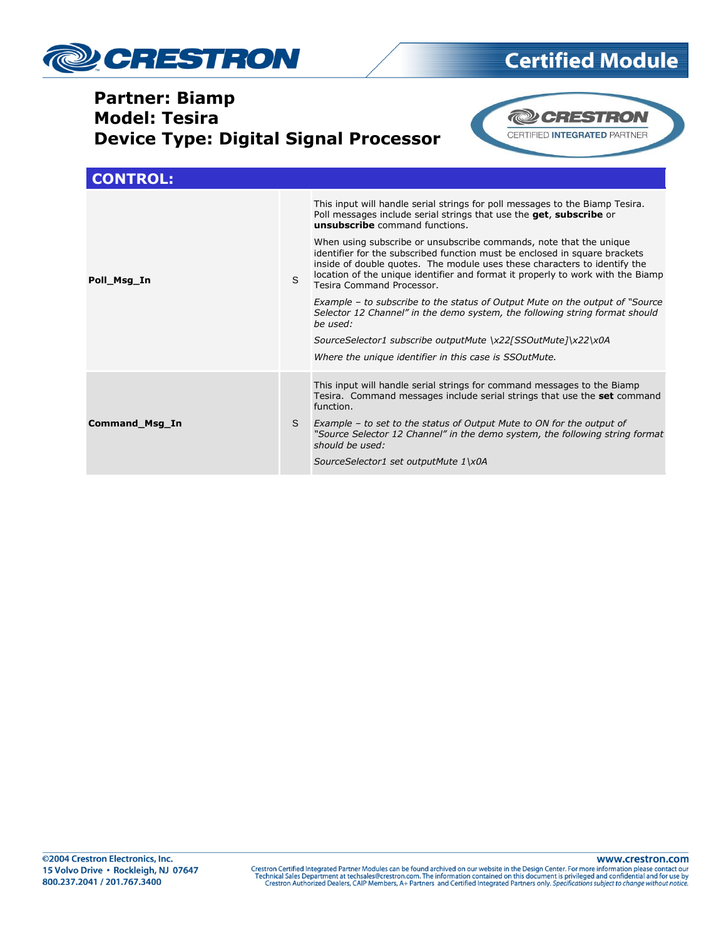

## **Certified Module**

#### **Partner: Biamp Model: Tesira Device Type: Digital Signal Processor**



| <b>CONTROL:</b> |    |                                                                                                                                                                                                                                                                                                                                                                                                                                                                                                                                                                                                                                                                                                                                                                                                                                              |
|-----------------|----|----------------------------------------------------------------------------------------------------------------------------------------------------------------------------------------------------------------------------------------------------------------------------------------------------------------------------------------------------------------------------------------------------------------------------------------------------------------------------------------------------------------------------------------------------------------------------------------------------------------------------------------------------------------------------------------------------------------------------------------------------------------------------------------------------------------------------------------------|
| Poll_Msg_In     | S. | This input will handle serial strings for poll messages to the Biamp Tesira.<br>Poll messages include serial strings that use the get, subscribe or<br>unsubscribe command functions.<br>When using subscribe or unsubscribe commands, note that the unique<br>identifier for the subscribed function must be enclosed in square brackets<br>inside of double quotes. The module uses these characters to identify the<br>location of the unique identifier and format it properly to work with the Biamp<br>Tesira Command Processor.<br>Example – to subscribe to the status of Output Mute on the output of "Source"<br>Selector 12 Channel" in the demo system, the following string format should<br>be used:<br>SourceSelector1 subscribe outputMute \x22[SSOutMute]\x22\x0A<br>Where the unique identifier in this case is SSOutMute. |
| Command_Msg_In  | S. | This input will handle serial strings for command messages to the Biamp<br>Tesira. Command messages include serial strings that use the set command<br>function.<br>Example – to set to the status of Output Mute to ON for the output of<br>"Source Selector 12 Channel" in the demo system, the following string format<br>should be used:<br>SourceSelector1 set outputMute 1\x0A                                                                                                                                                                                                                                                                                                                                                                                                                                                         |

www.crestron.com Crestron Certified Integrated Partner Modules can be found archived on our website in the Design Center. For more information please contact our Technical Sales Department at techsales@crestron.com. The information contain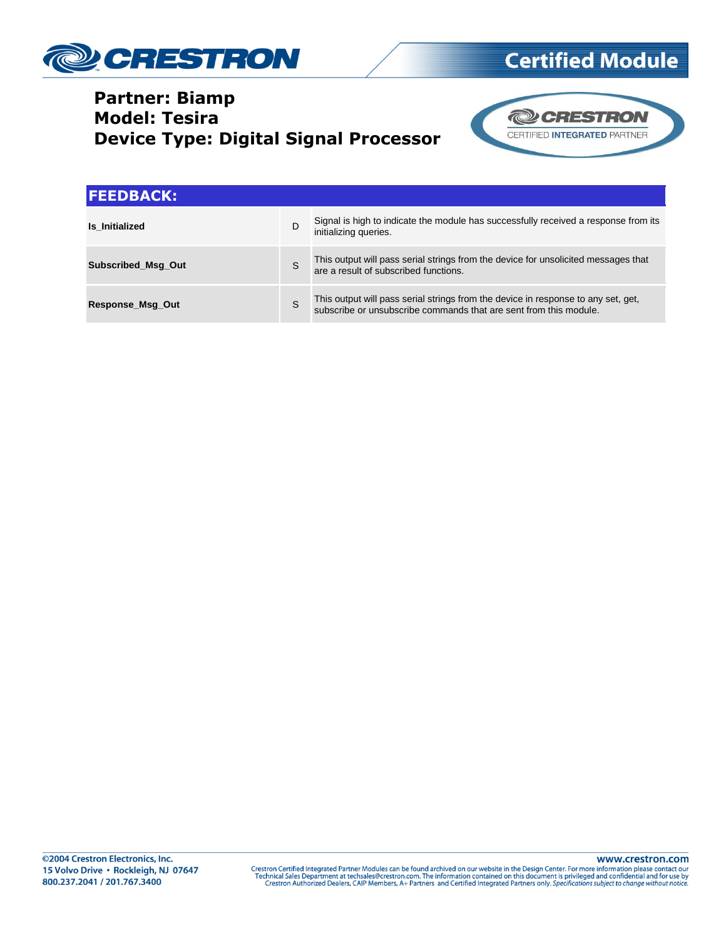

### **Partner: Biamp Model: Tesira Device Type: Digital Signal Processor**





| <b>FEEDBACK:</b>          |   |                                                                                                                                                     |  |  |
|---------------------------|---|-----------------------------------------------------------------------------------------------------------------------------------------------------|--|--|
| Is Initialized            | D | Signal is high to indicate the module has successfully received a response from its<br>initializing queries.                                        |  |  |
| <b>Subscribed Msg Out</b> | S | This output will pass serial strings from the device for unsolicited messages that<br>are a result of subscribed functions.                         |  |  |
| <b>Response Msg Out</b>   | S | This output will pass serial strings from the device in response to any set, get, subscribe or unsubscribe commands that are sent from this module. |  |  |

www.crestron.com Crestron Certified Integrated Partner Modules can be found archived on our website in the Design Center. For more information please contact our Technical Sales Department at techsales@crestron.com. The information contain